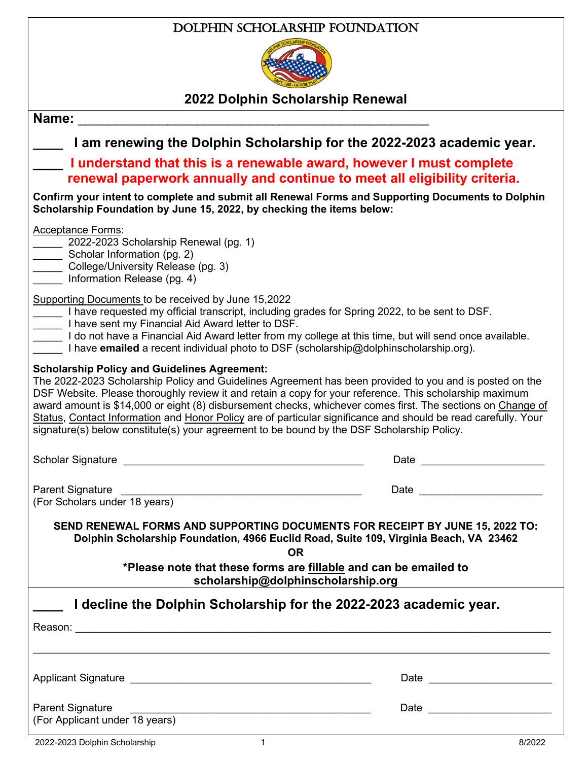## Dolphin Scholarship Foundation



**2022 Dolphin Scholarship Renewal**

| Name:                                                                                                                                                                                                                                                                                                                                                                                                                                                                                                                                                                                                    |                                                                                                                                                                                                                                |  |
|----------------------------------------------------------------------------------------------------------------------------------------------------------------------------------------------------------------------------------------------------------------------------------------------------------------------------------------------------------------------------------------------------------------------------------------------------------------------------------------------------------------------------------------------------------------------------------------------------------|--------------------------------------------------------------------------------------------------------------------------------------------------------------------------------------------------------------------------------|--|
| I am renewing the Dolphin Scholarship for the 2022-2023 academic year.                                                                                                                                                                                                                                                                                                                                                                                                                                                                                                                                   |                                                                                                                                                                                                                                |  |
| I understand that this is a renewable award, however I must complete<br>renewal paperwork annually and continue to meet all eligibility criteria.                                                                                                                                                                                                                                                                                                                                                                                                                                                        |                                                                                                                                                                                                                                |  |
| Confirm your intent to complete and submit all Renewal Forms and Supporting Documents to Dolphin<br>Scholarship Foundation by June 15, 2022, by checking the items below:                                                                                                                                                                                                                                                                                                                                                                                                                                |                                                                                                                                                                                                                                |  |
| <b>Acceptance Forms:</b><br>2022-2023 Scholarship Renewal (pg. 1)<br>Scholar Information (pg. 2)<br>College/University Release (pg. 3)<br>Information Release (pg. 4)                                                                                                                                                                                                                                                                                                                                                                                                                                    |                                                                                                                                                                                                                                |  |
| Supporting Documents to be received by June 15,2022<br>Let al have requested my official transcript, including grades for Spring 2022, to be sent to DSF.<br>Letter to DSF.<br>1 do not have a Financial Aid Award letter from my college at this time, but will send once available.<br>I have <b>emailed</b> a recent individual photo to DSF (scholarship@dolphinscholarship.org).                                                                                                                                                                                                                    |                                                                                                                                                                                                                                |  |
| <b>Scholarship Policy and Guidelines Agreement:</b><br>The 2022-2023 Scholarship Policy and Guidelines Agreement has been provided to you and is posted on the<br>DSF Website. Please thoroughly review it and retain a copy for your reference. This scholarship maximum<br>award amount is \$14,000 or eight (8) disbursement checks, whichever comes first. The sections on Change of<br>Status, Contact Information and Honor Policy are of particular significance and should be read carefully. Your<br>signature(s) below constitute(s) your agreement to be bound by the DSF Scholarship Policy. |                                                                                                                                                                                                                                |  |
| Scholar Signature <u>experience</u> and the scholar Signature and the set of the set of the set of the set of the set of the set of the set of the set of the set of the set of the set of the set of the set of the set of the set                                                                                                                                                                                                                                                                                                                                                                      | Date <u>_____</u>                                                                                                                                                                                                              |  |
| <b>Parent Signature</b><br>(For Scholars under 18 years)                                                                                                                                                                                                                                                                                                                                                                                                                                                                                                                                                 | Date and the contract of the contract of the contract of the contract of the contract of the contract of the contract of the contract of the contract of the contract of the contract of the contract of the contract of the c |  |
| SEND RENEWAL FORMS AND SUPPORTING DOCUMENTS FOR RECEIPT BY JUNE 15, 2022 TO:<br>Dolphin Scholarship Foundation, 4966 Euclid Road, Suite 109, Virginia Beach, VA 23462<br><b>OR</b>                                                                                                                                                                                                                                                                                                                                                                                                                       |                                                                                                                                                                                                                                |  |
| *Please note that these forms are fillable and can be emailed to<br>scholarship@dolphinscholarship.org                                                                                                                                                                                                                                                                                                                                                                                                                                                                                                   |                                                                                                                                                                                                                                |  |
| I decline the Dolphin Scholarship for the 2022-2023 academic year.                                                                                                                                                                                                                                                                                                                                                                                                                                                                                                                                       |                                                                                                                                                                                                                                |  |
|                                                                                                                                                                                                                                                                                                                                                                                                                                                                                                                                                                                                          |                                                                                                                                                                                                                                |  |
|                                                                                                                                                                                                                                                                                                                                                                                                                                                                                                                                                                                                          |                                                                                                                                                                                                                                |  |
| <b>Parent Signature</b>                                                                                                                                                                                                                                                                                                                                                                                                                                                                                                                                                                                  | Date <u>_______________</u>                                                                                                                                                                                                    |  |
| (For Applicant under 18 years)                                                                                                                                                                                                                                                                                                                                                                                                                                                                                                                                                                           |                                                                                                                                                                                                                                |  |
| 2022-2023 Dolphin Scholarship<br>$1 \quad$                                                                                                                                                                                                                                                                                                                                                                                                                                                                                                                                                               | 8/2022                                                                                                                                                                                                                         |  |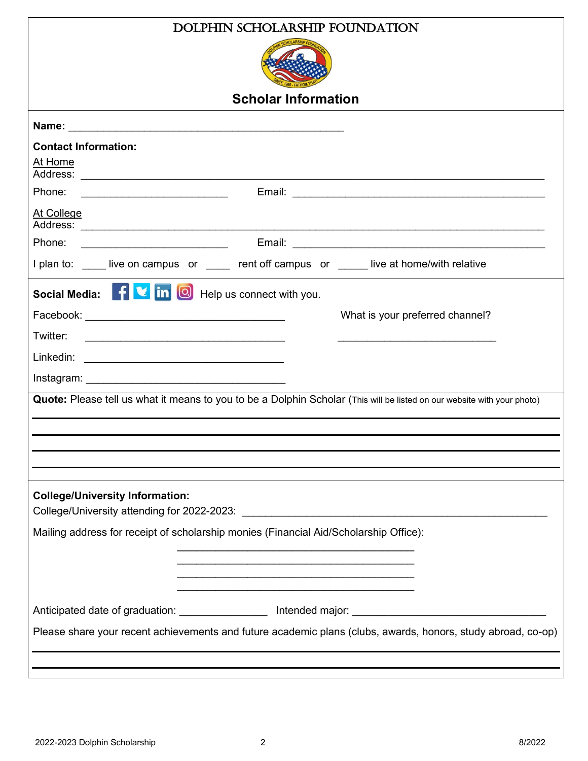| DOLPHIN SCHOLARSHIP FOUNDATION                                                                                          |  |  |  |
|-------------------------------------------------------------------------------------------------------------------------|--|--|--|
|                                                                                                                         |  |  |  |
| <b>Scholar Information</b>                                                                                              |  |  |  |
|                                                                                                                         |  |  |  |
| <b>Contact Information:</b>                                                                                             |  |  |  |
| At Home                                                                                                                 |  |  |  |
| Phone:<br><u> 1990 - Johann Stoff, fransk politik (d. 19</u>                                                            |  |  |  |
| At College                                                                                                              |  |  |  |
| Phone:<br><u> 1990 - Johann Barn, mars ann an t-Amhain ann an t-A</u>                                                   |  |  |  |
| I plan to: ____ live on campus or _____ rent off campus or _____ live at home/with relative                             |  |  |  |
| Social Media: FU in O Help us connect with you.                                                                         |  |  |  |
| What is your preferred channel?                                                                                         |  |  |  |
| Twitter:                                                                                                                |  |  |  |
|                                                                                                                         |  |  |  |
|                                                                                                                         |  |  |  |
| Quote: Please tell us what it means to you to be a Dolphin Scholar (This will be listed on our website with your photo) |  |  |  |
|                                                                                                                         |  |  |  |
|                                                                                                                         |  |  |  |
|                                                                                                                         |  |  |  |
|                                                                                                                         |  |  |  |
| <b>College/University Information:</b>                                                                                  |  |  |  |
| Mailing address for receipt of scholarship monies (Financial Aid/Scholarship Office):                                   |  |  |  |
|                                                                                                                         |  |  |  |
|                                                                                                                         |  |  |  |
|                                                                                                                         |  |  |  |
|                                                                                                                         |  |  |  |
| Please share your recent achievements and future academic plans (clubs, awards, honors, study abroad, co-op)            |  |  |  |
|                                                                                                                         |  |  |  |
|                                                                                                                         |  |  |  |

 $\mathsf{I}$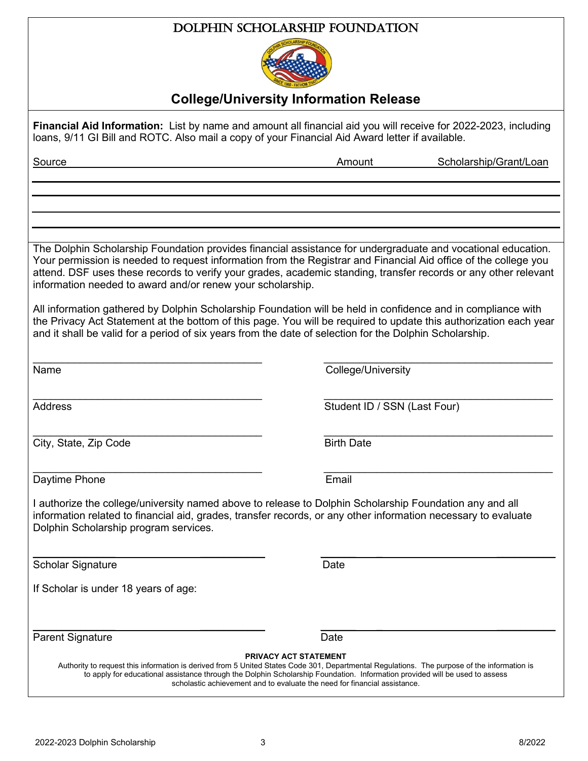| DOLPHIN SCHOLARSHIP FOUNDATION                                                                                                                                                                                                                                                                                                                                                                                   |                              |                        |  |  |
|------------------------------------------------------------------------------------------------------------------------------------------------------------------------------------------------------------------------------------------------------------------------------------------------------------------------------------------------------------------------------------------------------------------|------------------------------|------------------------|--|--|
|                                                                                                                                                                                                                                                                                                                                                                                                                  |                              |                        |  |  |
| <b>College/University Information Release</b>                                                                                                                                                                                                                                                                                                                                                                    |                              |                        |  |  |
| Financial Aid Information: List by name and amount all financial aid you will receive for 2022-2023, including<br>loans, 9/11 GI Bill and ROTC. Also mail a copy of your Financial Aid Award letter if available.                                                                                                                                                                                                |                              |                        |  |  |
| Source                                                                                                                                                                                                                                                                                                                                                                                                           | Amount                       | Scholarship/Grant/Loan |  |  |
|                                                                                                                                                                                                                                                                                                                                                                                                                  |                              |                        |  |  |
|                                                                                                                                                                                                                                                                                                                                                                                                                  |                              |                        |  |  |
| The Dolphin Scholarship Foundation provides financial assistance for undergraduate and vocational education.<br>Your permission is needed to request information from the Registrar and Financial Aid office of the college you<br>attend. DSF uses these records to verify your grades, academic standing, transfer records or any other relevant<br>information needed to award and/or renew your scholarship. |                              |                        |  |  |
| All information gathered by Dolphin Scholarship Foundation will be held in confidence and in compliance with<br>the Privacy Act Statement at the bottom of this page. You will be required to update this authorization each year<br>and it shall be valid for a period of six years from the date of selection for the Dolphin Scholarship.                                                                     |                              |                        |  |  |
| Name                                                                                                                                                                                                                                                                                                                                                                                                             | College/University           |                        |  |  |
| <b>Address</b>                                                                                                                                                                                                                                                                                                                                                                                                   | Student ID / SSN (Last Four) |                        |  |  |
| City, State, Zip Code                                                                                                                                                                                                                                                                                                                                                                                            | <b>Birth Date</b>            |                        |  |  |
| Daytime Phone                                                                                                                                                                                                                                                                                                                                                                                                    | Email                        |                        |  |  |
| I authorize the college/university named above to release to Dolphin Scholarship Foundation any and all<br>information related to financial aid, grades, transfer records, or any other information necessary to evaluate<br>Dolphin Scholarship program services.                                                                                                                                               |                              |                        |  |  |
| <b>Scholar Signature</b>                                                                                                                                                                                                                                                                                                                                                                                         | Date                         |                        |  |  |
| If Scholar is under 18 years of age:                                                                                                                                                                                                                                                                                                                                                                             |                              |                        |  |  |
| <b>Parent Signature</b>                                                                                                                                                                                                                                                                                                                                                                                          | Date                         |                        |  |  |
| Authority to request this information is derived from 5 United States Code 301, Departmental Regulations. The purpose of the information is<br>to apply for educational assistance through the Dolphin Scholarship Foundation. Information provided will be used to assess<br>scholastic achievement and to evaluate the need for financial assistance.                                                          | <b>PRIVACY ACT STATEMENT</b> |                        |  |  |